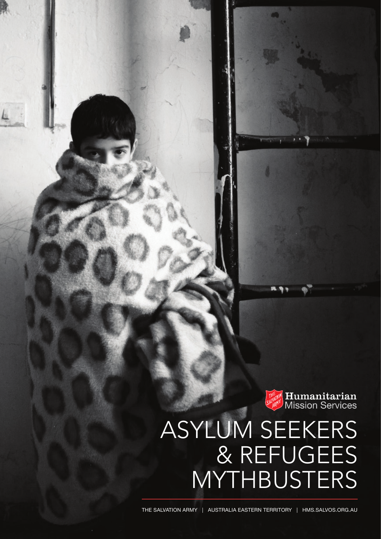**THE Humanitarian**<br>SALARY Mission Services

# ASYLUM SEEKERS & REFUGEES MYTHBUSTERS

The Salvation army | australia eastern territory | HMS.SALVOS.ORG.AU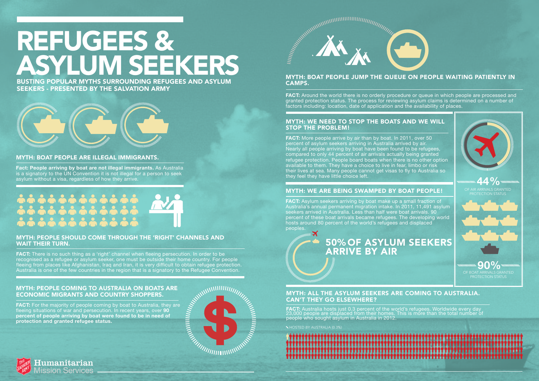# REFUGEES & ASYLUM SEEKERS

### MYTH: BOAT PEOPLE ARE ILLEGAL IMMIGRANTS.

**Fact: People arriving by boat are not illegal immigrants.** As Australia is a signatory to the UN Convention it is not illegal for a person to seek asylum without a visa, regardless of how they arrive.

### MYTH: Boat people jump the queue on people waiting patiently in camps.

**FACT:** Around the world there is no orderly procedure or queue in which people are processed and granted protection status. The process for reviewing asylum claims is determined on a number of factors including: location, date of application and the availability of places.

### MYTH: We need to stop the boats and we will stop the problem!

FACT: There is no such thing as a 'right' channel when fleeing persecution. In order to be recognised as a refugee or asylum seeker, one must be outside their home country. For people fleeing from places like Afghanistan, Iraq and Iran, it is very difficult to obtain refugee protection. **FACT:** More people arrive by air than by boat. In 2011, over 50 percent of asylum seekers arriving in Australia arrived by air. Nearly all people arriving by boat have been found to be refugees, compared to only 44 percent of air arrivals actually being granted refugee protection. People board boats when there is no other option available to them. They have a choice to live in fear, limbo or risk their lives at sea. Many people cannot get visas to fly to Australia so they feel they have little choice left.

**FACT:** For the majority of people coming by boat to Australia, they are fleeing situations of war and persecution. In recent years, over **90 percent of people arriving by boat were found to be in need of protection and granted refugee status.** 

**FACT:** Asylum seekers arriving by boat make up a small fraction of Australia's annual permanent migration intake. In 2011, 11,491 asylum seekers arrived in Australia. Less than half were boat arrivals. 90 percent of these boat arrivals became refugees. The developing world hosts around 80 percent of the world's refugees and displaced peoples.

### MYTH: People should come through the 'right' channels and wait their turn.

**FACT:** Australia hosts just 0.3 percent of the world's refugees. Worldwide every day 23,000 people are displaced from their homes. This is more than the total number of people who sought asylum in Australia in 2012.





Iumanitarian sion Services

# 

# MYTH: People coming to Australia on boats are economic migrants and country shoppers.





# MYTH: We are being swamped by boat people!

BUSTING POPULAR MYTHS SURROUNDING REFUGEES AND ASYLUM SEEKERS - PRESENTED BY THE SALVATION ARMY



**44%** AIR ARRIVALS GRANTED PROTECTION STATUS

# MYTH: All the asylum seekers are coming to Australia. Can't they go elsewhere?

hosted by australia (0.3%)